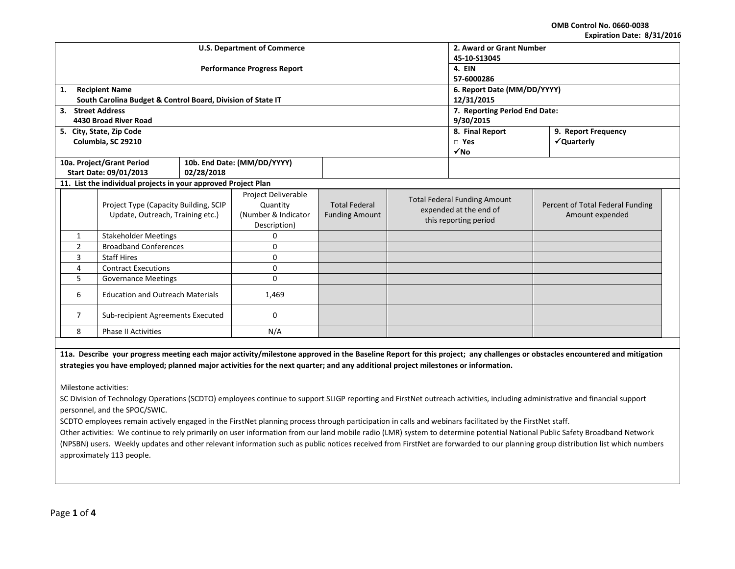**OMB Control No. 0660-0038 Expiration Date: 8/31/2016**

| LANII QUUII DALC. 0/ JI/ LUIL                       |                                                                |                                    |                               |                       |                       |                                     |                                  |  |
|-----------------------------------------------------|----------------------------------------------------------------|------------------------------------|-------------------------------|-----------------------|-----------------------|-------------------------------------|----------------------------------|--|
|                                                     |                                                                | <b>U.S. Department of Commerce</b> | 2. Award or Grant Number      |                       |                       |                                     |                                  |  |
|                                                     |                                                                |                                    | 45-10-S13045                  |                       |                       |                                     |                                  |  |
|                                                     |                                                                | <b>Performance Progress Report</b> | 4. EIN                        |                       |                       |                                     |                                  |  |
|                                                     |                                                                |                                    | 57-6000286                    |                       |                       |                                     |                                  |  |
| 1.                                                  | <b>Recipient Name</b>                                          |                                    |                               |                       |                       | 6. Report Date (MM/DD/YYYY)         |                                  |  |
|                                                     | South Carolina Budget & Control Board, Division of State IT    |                                    | 12/31/2015                    |                       |                       |                                     |                                  |  |
| 3. Street Address                                   |                                                                |                                    | 7. Reporting Period End Date: |                       |                       |                                     |                                  |  |
|                                                     | 4430 Broad River Road                                          |                                    |                               |                       |                       | 9/30/2015                           |                                  |  |
|                                                     | 5. City, State, Zip Code                                       |                                    |                               |                       |                       | 8. Final Report                     | 9. Report Frequency              |  |
|                                                     | Columbia, SC 29210                                             |                                    |                               |                       |                       | $\Box$ Yes                          | √Quarterly                       |  |
|                                                     |                                                                |                                    |                               |                       |                       | $\sqrt{NQ}$                         |                                  |  |
|                                                     | 10a. Project/Grant Period                                      |                                    | 10b. End Date: (MM/DD/YYYY)   |                       |                       |                                     |                                  |  |
|                                                     | Start Date: 09/01/2013                                         | 02/28/2018                         |                               |                       |                       |                                     |                                  |  |
|                                                     | 11. List the individual projects in your approved Project Plan |                                    |                               |                       |                       |                                     |                                  |  |
|                                                     |                                                                |                                    | Project Deliverable           |                       |                       | <b>Total Federal Funding Amount</b> |                                  |  |
|                                                     | Project Type (Capacity Building, SCIP                          |                                    | Quantity                      | <b>Total Federal</b>  |                       | expended at the end of              | Percent of Total Federal Funding |  |
|                                                     | Update, Outreach, Training etc.)                               |                                    | (Number & Indicator           | <b>Funding Amount</b> | this reporting period |                                     | Amount expended                  |  |
|                                                     |                                                                |                                    | Description)                  |                       |                       |                                     |                                  |  |
| $\mathbf{1}$                                        | <b>Stakeholder Meetings</b>                                    |                                    | 0                             |                       |                       |                                     |                                  |  |
| $\overline{2}$                                      | <b>Broadband Conferences</b>                                   |                                    | 0                             |                       |                       |                                     |                                  |  |
| 3                                                   | <b>Staff Hires</b>                                             |                                    | 0                             |                       |                       |                                     |                                  |  |
| 4<br><b>Contract Executions</b>                     |                                                                | 0                                  |                               |                       |                       |                                     |                                  |  |
| 5<br><b>Governance Meetings</b>                     |                                                                | 0                                  |                               |                       |                       |                                     |                                  |  |
| <b>Education and Outreach Materials</b><br>6        |                                                                | 1,469                              |                               |                       |                       |                                     |                                  |  |
| $\overline{7}$<br>Sub-recipient Agreements Executed |                                                                | 0                                  |                               |                       |                       |                                     |                                  |  |
| <b>Phase II Activities</b><br>8<br>N/A              |                                                                |                                    |                               |                       |                       |                                     |                                  |  |
|                                                     |                                                                |                                    |                               |                       |                       |                                     |                                  |  |

**11a. Describe your progress meeting each major activity/milestone approved in the Baseline Report for this project; any challenges or obstacles encountered and mitigation strategies you have employed; planned major activities for the next quarter; and any additional project milestones or information.**

Milestone activities:

SC Division of Technology Operations (SCDTO) employees continue to support SLIGP reporting and FirstNet outreach activities, including administrative and financial support personnel, and the SPOC/SWIC.

SCDTO employees remain actively engaged in the FirstNet planning process through participation in calls and webinars facilitated by the FirstNet staff.

Other activities: We continue to rely primarily on user information from our land mobile radio (LMR) system to determine potential National Public Safety Broadband Network (NPSBN) users. Weekly updates and other relevant information such as public notices received from FirstNet are forwarded to our planning group distribution list which numbers approximately 113 people.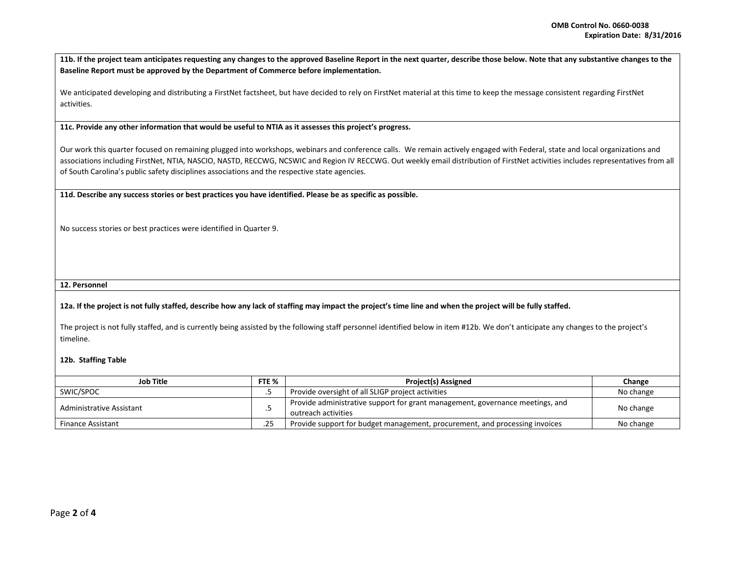| 11b. If the project team anticipates requesting any changes to the approved Baseline Report in the next quarter, describe those below. Note that any substantive changes to the |
|---------------------------------------------------------------------------------------------------------------------------------------------------------------------------------|
| Baseline Report must be approved by the Department of Commerce before implementation.                                                                                           |

We anticipated developing and distributing a FirstNet factsheet, but have decided to rely on FirstNet material at this time to keep the message consistent regarding FirstNet activities.

**11c. Provide any other information that would be useful to NTIA as it assesses this project's progress.** 

Our work this quarter focused on remaining plugged into workshops, webinars and conference calls. We remain actively engaged with Federal, state and local organizations and associations including FirstNet, NTIA, NASCIO, NASTD, RECCWG, NCSWIC and Region IV RECCWG. Out weekly email distribution of FirstNet activities includes representatives from all of South Carolina's public safety disciplines associations and the respective state agencies.

**11d. Describe any success stories or best practices you have identified. Please be as specific as possible.**

No success stories or best practices were identified in Quarter 9.

## **12. Personnel**

## **12a. If the project is not fully staffed, describe how any lack of staffing may impact the project's time line and when the project will be fully staffed.**

The project is not fully staffed, and is currently being assisted by the following staff personnel identified below in item #12b. We don't anticipate any changes to the project's timeline.

## **12b. Staffing Table**

| Job Title                |  | <b>Project(s) Assigned</b>                                                                           | Change    |
|--------------------------|--|------------------------------------------------------------------------------------------------------|-----------|
| SWIC/SPOC                |  | Provide oversight of all SLIGP project activities                                                    | No change |
| Administrative Assistant |  | Provide administrative support for grant management, governance meetings, and<br>outreach activities | No change |
| <b>Finance Assistant</b> |  | Provide support for budget management, procurement, and processing invoices                          | No change |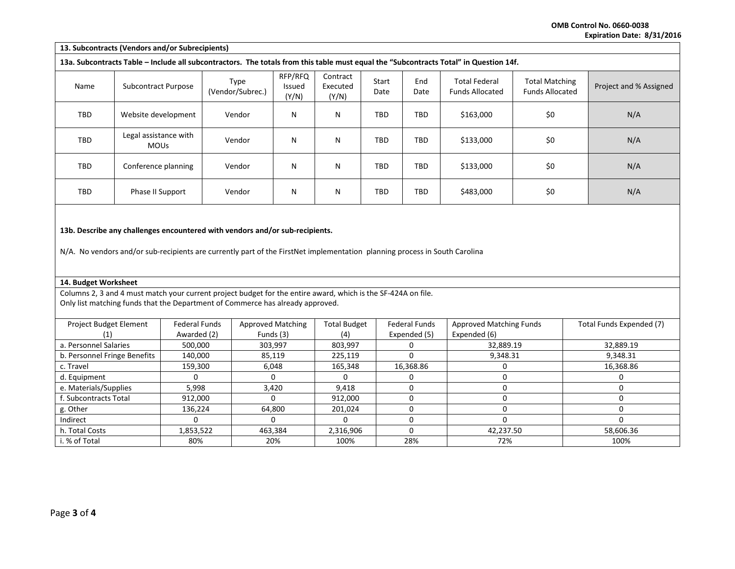**OMB Control No. 0660-0038 Expiration Date: 8/31/2016**

| 13. Subcontracts (Vendors and/or Subrecipients)                                                                                       |                                      |                          |                            |                               |               |             |                                                |                                                 |                        |
|---------------------------------------------------------------------------------------------------------------------------------------|--------------------------------------|--------------------------|----------------------------|-------------------------------|---------------|-------------|------------------------------------------------|-------------------------------------------------|------------------------|
| 13a. Subcontracts Table – Include all subcontractors. The totals from this table must equal the "Subcontracts Total" in Question 14f. |                                      |                          |                            |                               |               |             |                                                |                                                 |                        |
| Name                                                                                                                                  | Subcontract Purpose                  | Type<br>(Vendor/Subrec.) | RFP/RFQ<br>Issued<br>(Y/N) | Contract<br>Executed<br>(Y/N) | Start<br>Date | End<br>Date | <b>Total Federal</b><br><b>Funds Allocated</b> | <b>Total Matching</b><br><b>Funds Allocated</b> | Project and % Assigned |
| TBD                                                                                                                                   | Website development                  | Vendor                   | N                          | N                             | TBD           | <b>TBD</b>  | \$163,000                                      | \$0                                             | N/A                    |
| TBD                                                                                                                                   | Legal assistance with<br><b>MOUs</b> | Vendor                   | N                          | N                             | TBD           | TBD         | \$133,000                                      | \$0                                             | N/A                    |
| TBD                                                                                                                                   | Conference planning                  | Vendor                   | N                          | N                             | TBD           | TBD         | \$133,000                                      | \$0                                             | N/A                    |
| TBD                                                                                                                                   | Phase II Support                     | Vendor                   | N                          | N                             | TBD           | <b>TBD</b>  | \$483,000                                      | \$0                                             | N/A                    |
| 13b. Describe any challenges encountered with vendors and/or sub-recipients.                                                          |                                      |                          |                            |                               |               |             |                                                |                                                 |                        |

N/A. No vendors and/or sub-recipients are currently part of the FirstNet implementation planning process in South Carolina

## **14. Budget Worksheet**

Columns 2, 3 and 4 must match your current project budget for the entire award, which is the SF-424A on file. Only list matching funds that the Department of Commerce has already approved.

| Project Budget Element       | <b>Federal Funds</b> | <b>Approved Matching</b> | <b>Total Budget</b> | <b>Federal Funds</b> | <b>Approved Matching Funds</b> | Total Funds Expended (7) |
|------------------------------|----------------------|--------------------------|---------------------|----------------------|--------------------------------|--------------------------|
|                              | Awarded (2)          | Funds (3)                | (4)                 | Expended (5)         | Expended (6)                   |                          |
| a. Personnel Salaries        | 500,000              | 303,997                  | 803,997             |                      | 32,889.19                      | 32,889.19                |
| b. Personnel Fringe Benefits | 140,000              | 85,119                   | 225,119             |                      | 9,348.31                       | 9,348.31                 |
| c. Travel                    | 159,300              | 6,048                    | 165,348             | 16,368.86            |                                | 16,368.86                |
| d. Equipment                 |                      |                          |                     |                      |                                |                          |
| e. Materials/Supplies        | 5,998                | 3,420                    | 9,418               |                      |                                |                          |
| f. Subcontracts Total        | 912,000              |                          | 912,000             |                      |                                |                          |
| g. Other                     | 136.224              | 64.800                   | 201.024             |                      |                                |                          |
| Indirect                     |                      |                          |                     |                      |                                |                          |
| h. Total Costs               | 1,853,522            | 463,384                  | 2,316,906           |                      | 42,237.50                      | 58,606.36                |
| i. % of Total                | 80%                  | 20%                      | 100%                | 28%                  | 72%                            | 100%                     |